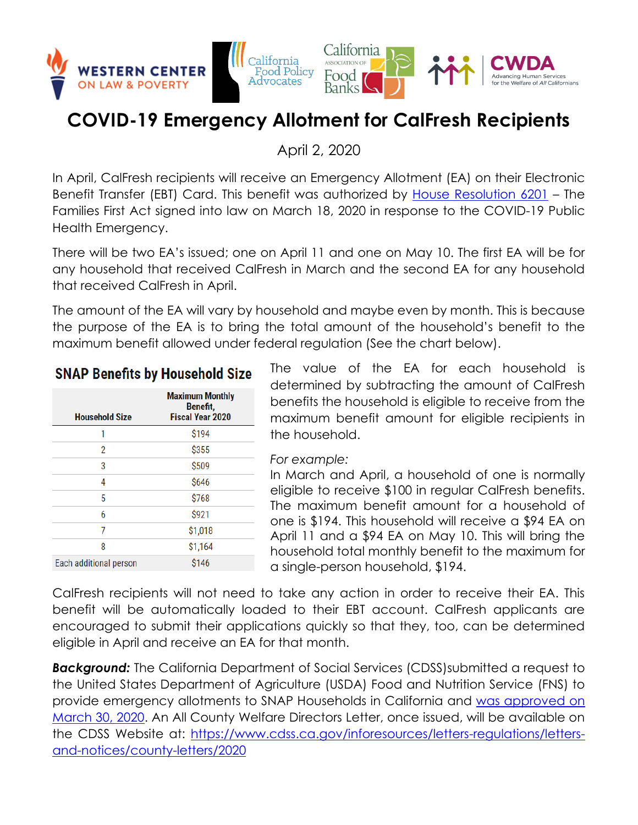

# **COVID-19 Emergency Allotment for CalFresh Recipients**

April 2, 2020

In April, CalFresh recipients will receive an Emergency Allotment (EA) on their Electronic Benefit Transfer (EBT) Card. This benefit was authorized by [House Resolution 6201](https://www.congress.gov/bill/116th-congress/house-bill/6201) – The Families First Act signed into law on March 18, 2020 in response to the COVID-19 Public Health Emergency.

There will be two EA's issued; one on April 11 and one on May 10. The first EA will be for any household that received CalFresh in March and the second EA for any household that received CalFresh in April.

The amount of the EA will vary by household and maybe even by month. This is because the purpose of the EA is to bring the total amount of the household's benefit to the maximum benefit allowed under federal regulation (See the chart below).

# **SNAP Benefits by Household Size**

| <b>Household Size</b>  | <b>Maximum Monthly</b><br>Benefit.<br><b>Fiscal Year 2020</b> |
|------------------------|---------------------------------------------------------------|
|                        |                                                               |
| 1                      | \$194                                                         |
| 2                      | \$355                                                         |
| 3                      | \$509                                                         |
| 4                      | \$646                                                         |
| 5                      | \$768                                                         |
| 6                      | \$921                                                         |
| 7                      | \$1,018                                                       |
| 8                      | \$1,164                                                       |
| Each additional person | \$146                                                         |

The value of the EA for each household is determined by subtracting the amount of CalFresh benefits the household is eligible to receive from the maximum benefit amount for eligible recipients in the household.

#### *For example:*

In March and April, a household of one is normally eligible to receive \$100 in regular CalFresh benefits. The maximum benefit amount for a household of one is \$194. This household will receive a \$94 EA on April 11 and a \$94 EA on May 10. This will bring the household total monthly benefit to the maximum for a single-person household, \$194.

CalFresh recipients will not need to take any action in order to receive their EA. This benefit will be automatically loaded to their EBT account. CalFresh applicants are encouraged to submit their applications quickly so that they, too, can be determined eligible in April and receive an EA for that month.

**Background:** The California Department of Social Services (CDSS)submitted a request to the United States Department of Agriculture (USDA) Food and Nutrition Service (FNS) to provide emergency allotments to SNAP Households in California and [was approved on](https://fns-prod.azureedge.net/sites/default/files/resource-files/CA-SNAP-COV-EmergencyAllotments-Approval.pdf)  [March 30, 2020.](https://fns-prod.azureedge.net/sites/default/files/resource-files/CA-SNAP-COV-EmergencyAllotments-Approval.pdf) An All County Welfare Directors Letter, once issued, will be available on the CDSS Website at: [https://www.cdss.ca.gov/inforesources/letters-regulations/letters](https://www.cdss.ca.gov/inforesources/letters-regulations/letters-and-notices/county-letters/2020)[and-notices/county-letters/2020](https://www.cdss.ca.gov/inforesources/letters-regulations/letters-and-notices/county-letters/2020)